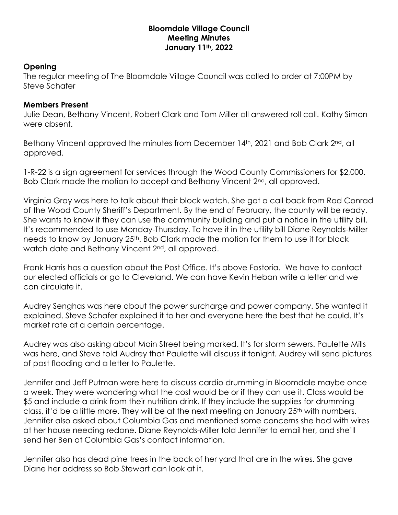## **Bloomdale Village Council Meeting Minutes January 11th, 2022**

## **Opening**

The regular meeting of The Bloomdale Village Council was called to order at 7:00PM by Steve Schafer

## **Members Present**

Julie Dean, Bethany Vincent, Robert Clark and Tom Miller all answered roll call. Kathy Simon were absent.

Bethany Vincent approved the minutes from December 14<sup>th</sup>, 2021 and Bob Clark 2<sup>nd</sup>, all approved.

1-R-22 is a sign agreement for services through the Wood County Commissioners for \$2,000. Bob Clark made the motion to accept and Bethany Vincent 2<sup>nd</sup>, all approved.

Virginia Gray was here to talk about their block watch. She got a call back from Rod Conrad of the Wood County Sheriff's Department. By the end of February, the county will be ready. She wants to know if they can use the community building and put a notice in the utility bill. It's recommended to use Monday-Thursday. To have it in the utility bill Diane Reynolds-Miller needs to know by January 25<sup>th</sup>. Bob Clark made the motion for them to use it for block watch date and Bethany Vincent 2<sup>nd</sup>, all approved.

Frank Harris has a question about the Post Office. It's above Fostoria. We have to contact our elected officials or go to Cleveland. We can have Kevin Heban write a letter and we can circulate it.

Audrey Senghas was here about the power surcharge and power company. She wanted it explained. Steve Schafer explained it to her and everyone here the best that he could. It's market rate at a certain percentage.

Audrey was also asking about Main Street being marked. It's for storm sewers. Paulette Mills was here, and Steve told Audrey that Paulette will discuss it tonight. Audrey will send pictures of past flooding and a letter to Paulette.

Jennifer and Jeff Putman were here to discuss cardio drumming in Bloomdale maybe once a week. They were wondering what the cost would be or if they can use it. Class would be \$5 and include a drink from their nutrition drink. If they include the supplies for drumming class, it'd be a little more. They will be at the next meeting on January 25<sup>th</sup> with numbers. Jennifer also asked about Columbia Gas and mentioned some concerns she had with wires at her house needing redone. Diane Reynolds-Miller told Jennifer to email her, and she'll send her Ben at Columbia Gas's contact information.

Jennifer also has dead pine trees in the back of her yard that are in the wires. She gave Diane her address so Bob Stewart can look at it.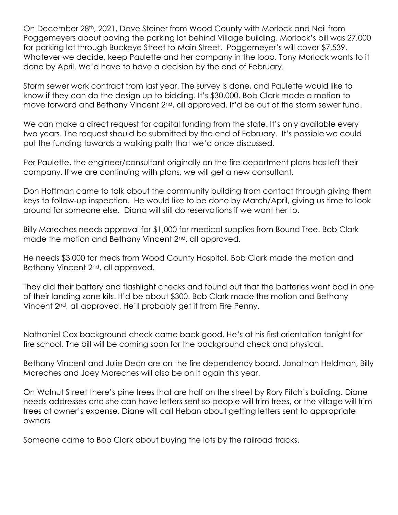On December 28th, 2021, Dave Steiner from Wood County with Morlock and Neil from Poggemeyers about paving the parking lot behind Village building. Morlock's bill was 27,000 for parking lot through Buckeye Street to Main Street. Poggemeyer's will cover \$7,539. Whatever we decide, keep Paulette and her company in the loop. Tony Morlock wants to it done by April. We'd have to have a decision by the end of February.

Storm sewer work contract from last year. The survey is done, and Paulette would like to know if they can do the design up to bidding. It's \$30,000. Bob Clark made a motion to move forward and Bethany Vincent 2<sup>nd</sup>, all approved. It'd be out of the storm sewer fund.

We can make a direct request for capital funding from the state. It's only available every two years. The request should be submitted by the end of February. It's possible we could put the funding towards a walking path that we'd once discussed.

Per Paulette, the engineer/consultant originally on the fire department plans has left their company. If we are continuing with plans, we will get a new consultant.

Don Hoffman came to talk about the community building from contact through giving them keys to follow-up inspection. He would like to be done by March/April, giving us time to look around for someone else. Diana will still do reservations if we want her to.

Billy Mareches needs approval for \$1,000 for medical supplies from Bound Tree. Bob Clark made the motion and Bethany Vincent 2<sup>nd</sup>, all approved.

He needs \$3,000 for meds from Wood County Hospital. Bob Clark made the motion and Bethany Vincent 2nd, all approved.

They did their battery and flashlight checks and found out that the batteries went bad in one of their landing zone kits. It'd be about \$300. Bob Clark made the motion and Bethany Vincent 2nd, all approved. He'll probably get it from Fire Penny.

Nathaniel Cox background check came back good. He's at his first orientation tonight for fire school. The bill will be coming soon for the background check and physical.

Bethany Vincent and Julie Dean are on the fire dependency board. Jonathan Heldman, Billy Mareches and Joey Mareches will also be on it again this year.

On Walnut Street there's pine trees that are half on the street by Rory Fitch's building. Diane needs addresses and she can have letters sent so people will trim trees, or the village will trim trees at owner's expense. Diane will call Heban about getting letters sent to appropriate owners

Someone came to Bob Clark about buying the lots by the railroad tracks.